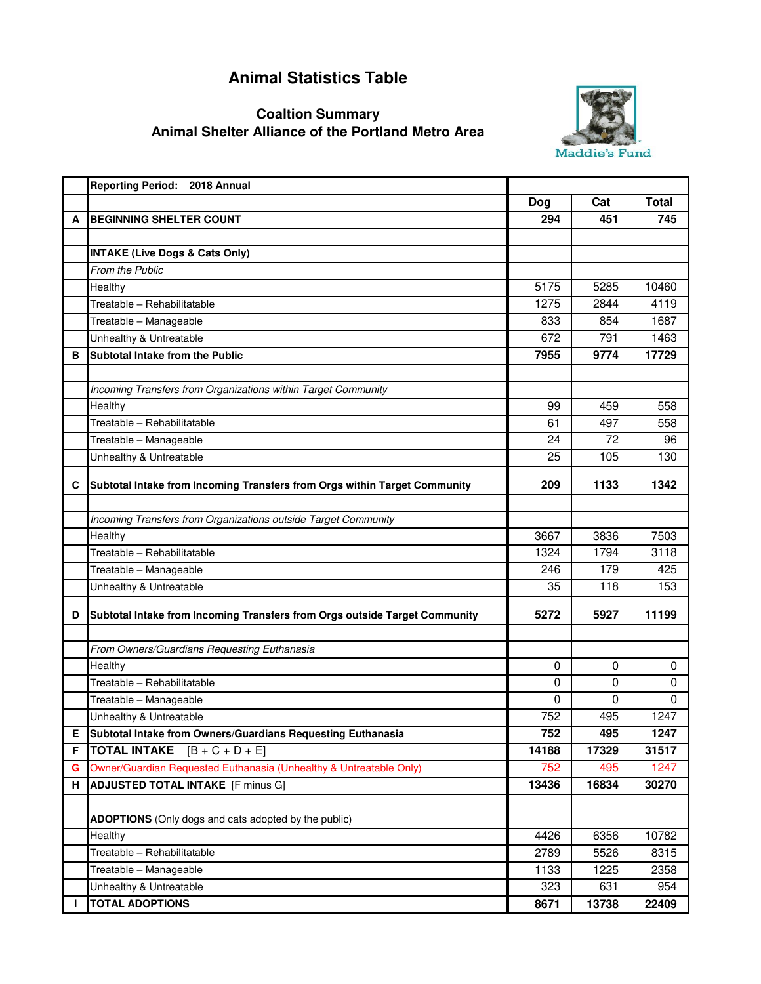## **Animal Statistics Table**

## **Animal Shelter Alliance of the Portland Metro Area Coaltion Summary**



|    | Reporting Period: 2018 Annual                                              |          |              |              |
|----|----------------------------------------------------------------------------|----------|--------------|--------------|
|    |                                                                            | Dog      | Cat          | <b>Total</b> |
| A  | <b>BEGINNING SHELTER COUNT</b>                                             | 294      | 451          | 745          |
|    |                                                                            |          |              |              |
|    | <b>INTAKE (Live Dogs &amp; Cats Only)</b>                                  |          |              |              |
|    | <b>From the Public</b>                                                     |          |              |              |
|    | Healthy                                                                    | 5175     | 5285         | 10460        |
|    | Treatable - Rehabilitatable                                                | 1275     | 2844         | 4119         |
|    | Treatable - Manageable                                                     | 833      | 854          | 1687         |
|    | Unhealthy & Untreatable                                                    | 672      | 791          | 1463         |
| в  | Subtotal Intake from the Public                                            | 7955     | 9774         | 17729        |
|    |                                                                            |          |              |              |
|    | Incoming Transfers from Organizations within Target Community              |          |              |              |
|    | Healthy                                                                    | 99       | 459          | 558          |
|    | Treatable - Rehabilitatable                                                | 61       | 497          | 558          |
|    | Treatable - Manageable                                                     | 24       | 72           | 96           |
|    | Unhealthy & Untreatable                                                    | 25       | 105          | 130          |
|    |                                                                            |          |              |              |
| С  | Subtotal Intake from Incoming Transfers from Orgs within Target Community  | 209      | 1133         | 1342         |
|    | Incoming Transfers from Organizations outside Target Community             |          |              |              |
|    |                                                                            | 3667     |              | 7503         |
|    | Healthy<br>Treatable - Rehabilitatable                                     | 1324     | 3836<br>1794 | 3118         |
|    |                                                                            | 246      | 179          | 425          |
|    | Treatable - Manageable                                                     |          | 118          | 153          |
|    | Unhealthy & Untreatable                                                    | 35       |              |              |
| D  | Subtotal Intake from Incoming Transfers from Orgs outside Target Community | 5272     | 5927         | 11199        |
|    |                                                                            |          |              |              |
|    | From Owners/Guardians Requesting Euthanasia                                |          |              |              |
|    | Healthy                                                                    | $\Omega$ | 0            | $\mathbf 0$  |
|    | Treatable - Rehabilitatable                                                | 0        | 0            | 0            |
|    | Treatable - Manageable                                                     | 0        | 0            | $\mathbf 0$  |
|    | Unhealthy & Untreatable                                                    | 752      | 495          | 1247         |
| E. | Subtotal Intake from Owners/Guardians Requesting Euthanasia                | 752      | 495          | 1247         |
| F. | <b>TOTAL INTAKE</b> $[B + C + D + E]$                                      | 14188    | 17329        | 31517        |
| G  | Owner/Guardian Requested Euthanasia (Unhealthy & Untreatable Only)         | 752      | 495          | 1247         |
| н  | <b>ADJUSTED TOTAL INTAKE</b> [F minus G]                                   | 13436    | 16834        | 30270        |
|    |                                                                            |          |              |              |
|    | <b>ADOPTIONS</b> (Only dogs and cats adopted by the public)                |          |              |              |
|    | Healthy                                                                    | 4426     | 6356         | 10782        |
|    | Treatable - Rehabilitatable                                                | 2789     | 5526         | 8315         |
|    | Treatable - Manageable                                                     | 1133     | 1225         | 2358         |
|    | Unhealthy & Untreatable                                                    | 323      | 631          | 954          |
| I. | <b>TOTAL ADOPTIONS</b>                                                     | 8671     | 13738        | 22409        |